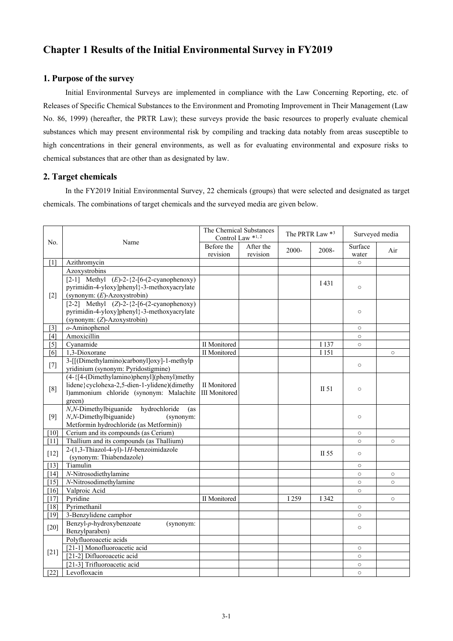# **Chapter 1 Results of the Initial Environmental Survey in FY2019**

## **1. Purpose of the survey**

Initial Environmental Surveys are implemented in compliance with the Law Concerning Reporting, etc. of Releases of Specific Chemical Substances to the Environment and Promoting Improvement in Their Management (Law No. 86, 1999) (hereafter, the PRTR Law); these surveys provide the basic resources to properly evaluate chemical substances which may present environmental risk by compiling and tracking data notably from areas susceptible to high concentrations in their general environments, as well as for evaluating environmental and exposure risks to chemical substances that are other than as designated by law.

### **2. Target chemicals**

In the FY2019 Initial Environmental Survey, 22 chemicals (groups) that were selected and designated as target chemicals. The combinations of target chemicals and the surveyed media are given below.

|                   |                                                                                                                                                       | The Chemical Substances<br>Control Law *1,2 |                       |       | The PRTR Law *3 | Surveyed media   |         |
|-------------------|-------------------------------------------------------------------------------------------------------------------------------------------------------|---------------------------------------------|-----------------------|-------|-----------------|------------------|---------|
| No.               | Name                                                                                                                                                  | Before the<br>revision                      | After the<br>revision | 2000- | 2008-           | Surface<br>water | Air     |
| [1]               | Azithromycin                                                                                                                                          |                                             |                       |       |                 | $\circ$          |         |
|                   | Azoxystrobins                                                                                                                                         |                                             |                       |       |                 |                  |         |
| $[2]$             | $[2-1]$ Methyl $(E)$ -2-{2-[6-(2-cyanophenoxy)<br>pyrimidin-4-yloxy]phenyl}-3-methoxyacrylate<br>(synonym: $(E)$ -Azoxystrobin)                       |                                             |                       |       | I 431           | $\circ$          |         |
|                   | [2-2] Methyl $(Z)$ -2-{2-[6-(2-cyanophenoxy)<br>pyrimidin-4-yloxy]phenyl}-3-methoxyacrylate<br>(synonym: (Z)-Azoxystrobin)                            |                                             |                       |       |                 | $\circ$          |         |
| $[3]$             | o-Aminophenol                                                                                                                                         |                                             |                       |       |                 | $\circ$          |         |
| [4]               | Amoxicillin                                                                                                                                           |                                             |                       |       |                 | $\circ$          |         |
| $\lceil 5 \rceil$ | Cyanamide                                                                                                                                             | <b>II</b> Monitored                         |                       |       | I 137           | $\circ$          |         |
| [6]               | 1,3-Dioxorane                                                                                                                                         | II Monitored                                |                       |       | I 151           |                  | $\circ$ |
| $[7]$             | 3-[[(Dimethylamino)carbonyl]oxy]-1-methylp<br>yridinium (synonym: Pyridostigmine)                                                                     |                                             |                       |       |                 | $\circ$          |         |
| [8]               | $(4-\{[4-(Dimethylamino)phenyl](phenyl)methyl\}$<br>lidene}cyclohexa-2,5-dien-1-ylidene)(dimethy<br>l)ammonium chloride (synonym: Malachite<br>green) | II Monitored<br><b>III</b> Monitored        |                       |       | II 51           | $\circ$          |         |
| [9]               | N,N-Dimethylbiguanide<br>hydrochloride<br>(as<br>N,N-Dimethylbiguanide)<br>(synonym:<br>Metformin hydrochloride (as Metformin))                       |                                             |                       |       |                 | $\circ$          |         |
| [10]              | Cerium and its compounds (as Cerium)                                                                                                                  |                                             |                       |       |                 | $\circ$          |         |
| [11]              | Thallium and its compounds (as Thallium)                                                                                                              |                                             |                       |       |                 | $\circ$          | $\circ$ |
| $[12]$            | 2-(1,3-Thiazol-4-yl)-1H-benzoimidazole<br>(synonym: Thiabendazole)                                                                                    |                                             |                       |       | II 55           | $\circ$          |         |
| [13]              | Tiamulin                                                                                                                                              |                                             |                       |       |                 | $\circ$          |         |
| $[14]$            | N-Nitrosodiethylamine                                                                                                                                 |                                             |                       |       |                 | $\circ$          | $\circ$ |
| $[15]$            | N-Nitrosodimethylamine                                                                                                                                |                                             |                       |       |                 | $\circ$          | $\circ$ |
| [16]              | Valproic Acid                                                                                                                                         |                                             |                       |       |                 | $\circ$          |         |
| $[17]$            | Pyridine                                                                                                                                              | II Monitored                                |                       | I 259 | I 342           |                  | $\circ$ |
| [18]              | Pyrimethanil                                                                                                                                          |                                             |                       |       |                 | $\circ$          |         |
| $[19]$            | 3-Benzylidene camphor                                                                                                                                 |                                             |                       |       |                 | $\circ$          |         |
| $[20]$            | Benzyl-p-hydroxybenzoate<br>(synonym:<br>Benzylparaben)                                                                                               |                                             |                       |       |                 | $\circ$          |         |
|                   | Polyfluoroacetic acids                                                                                                                                |                                             |                       |       |                 |                  |         |
|                   | [21-1] Monofluoroacetic acid                                                                                                                          |                                             |                       |       |                 | $\circ$          |         |
| $[21]$            | [21-2] Difluoroacetic acid                                                                                                                            |                                             |                       |       |                 | $\circ$          |         |
|                   | [21-3] Trifluoroacetic acid                                                                                                                           |                                             |                       |       |                 | $\circ$          |         |
| $[22]$            | Levofloxacin                                                                                                                                          |                                             |                       |       |                 | $\circ$          |         |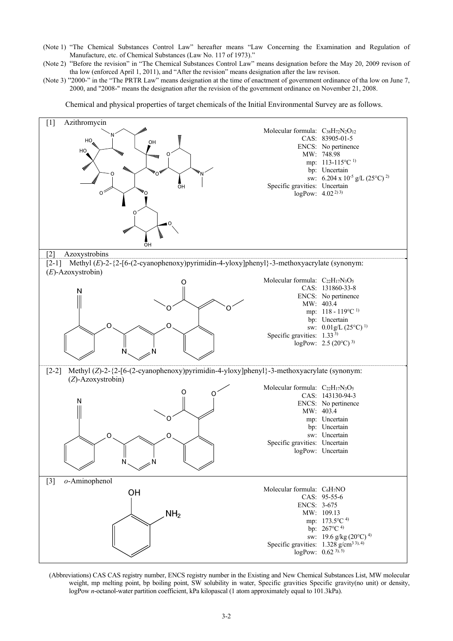- (Note 1) "The Chemical Substances Control Law" hereafter means "Law Concerning the Examination and Regulation of Manufacture, etc. of Chemical Substances (Law No. 117 of 1973)."
- (Note 2) "Before the revision" in "The Chemical Substances Control Law" means designation before the May 20, 2009 revison of tha low (enforced April 1, 2011), and "After the revision" means designation after the law revison.
- (Note 3) "2000-" in the "The PRTR Law" means designation at the time of enactment of government ordinance of tha low on June 7, 2000, and "2008-" means the designation after the revision of the government ordinance on November 21, 2008.

Chemical and physical properties of target chemicals of the Initial Environmental Survey are as follows.



(Abbreviations) CAS CAS registry number, ENCS registry number in the Existing and New Chemical Substances List, MW molecular weight, mp melting point, bp boiling point, SW solubility in water, Specific gravities Specific gravity(no unit) or density, logPow *n*-octanol-water partition coefficient, kPa kilopascal (1 atom approximately equal to 101.3kPa).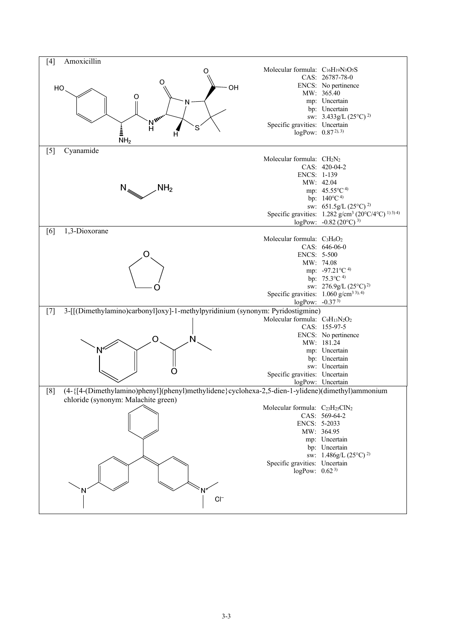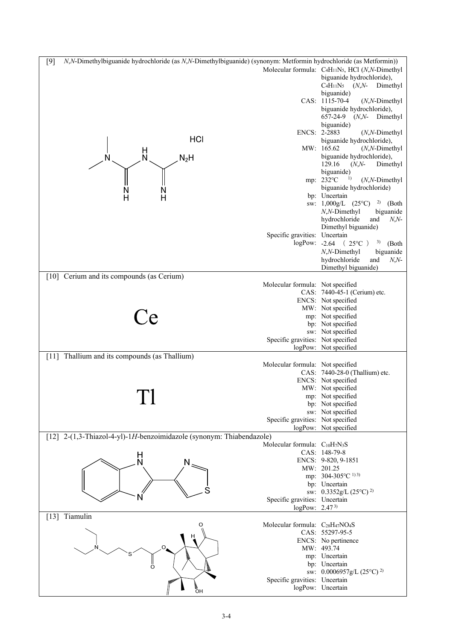| N,N-Dimethylbiguanide hydrochloride (as N,N-Dimethylbiguanide) (synonym: Metformin hydrochloride (as Metformin))<br>$[9]$ |                                                                      |                                                                                      |
|---------------------------------------------------------------------------------------------------------------------------|----------------------------------------------------------------------|--------------------------------------------------------------------------------------|
|                                                                                                                           |                                                                      | Molecular formula: C <sub>4</sub> H <sub>11</sub> N <sub>5</sub> , HCl (N,N-Dimethyl |
|                                                                                                                           |                                                                      | biguanide hydrochloride),                                                            |
|                                                                                                                           |                                                                      | $C_4H_{11}N_5$ ( <i>N,N</i> -<br>Dimethyl                                            |
|                                                                                                                           |                                                                      | biguanide)                                                                           |
|                                                                                                                           |                                                                      | CAS: 1115-70-4<br>$(N, N\text{-Dimethyl})$                                           |
|                                                                                                                           |                                                                      | biguanide hydrochloride),                                                            |
|                                                                                                                           |                                                                      | $(N, N-)$<br>657-24-9<br>Dimethyl                                                    |
|                                                                                                                           |                                                                      | biguanide)                                                                           |
|                                                                                                                           | ENCS: 2-2883                                                         | $(N, N\text{-Dimethyl})$                                                             |
| HCI                                                                                                                       |                                                                      | biguanide hydrochloride),                                                            |
|                                                                                                                           |                                                                      | MW: 165.62<br>$(N, N\text{-Dimethyl})$                                               |
| $\frac{H}{N}$                                                                                                             |                                                                      | biguanide hydrochloride),                                                            |
| $N_2H$                                                                                                                    |                                                                      | 129.16<br>$(N, N-$<br>Dimethyl                                                       |
|                                                                                                                           |                                                                      | biguanide)                                                                           |
|                                                                                                                           |                                                                      | 1)<br>mp: 232°C<br>$(N, N\text{-Dimethyl})$                                          |
|                                                                                                                           |                                                                      | biguanide hydrochloride)                                                             |
| $\frac{N}{H}$<br>$\frac{N}{H}$                                                                                            |                                                                      | bp: Uncertain                                                                        |
|                                                                                                                           |                                                                      | sw: $1,000g/L$ (25°C)<br>2)<br>(Both                                                 |
|                                                                                                                           |                                                                      | $N, N$ -Dimethyl<br>biguanide                                                        |
|                                                                                                                           |                                                                      | hydrochloride<br>and<br>$N, N-$                                                      |
|                                                                                                                           |                                                                      | Dimethyl biguanide)                                                                  |
|                                                                                                                           | Specific gravities: Uncertain                                        |                                                                                      |
|                                                                                                                           |                                                                      | $logPow: -2.64$ (25 °C)<br>3)<br>(Both                                               |
|                                                                                                                           |                                                                      | $N, N$ -Dimethyl<br>biguanide                                                        |
|                                                                                                                           |                                                                      | hydrochloride<br>and<br>N <sub>2</sub> N                                             |
|                                                                                                                           |                                                                      | Dimethyl biguanide)                                                                  |
| [10] Cerium and its compounds (as Cerium)                                                                                 |                                                                      |                                                                                      |
|                                                                                                                           | Molecular formula: Not specified                                     |                                                                                      |
|                                                                                                                           |                                                                      | CAS: 7440-45-1 (Cerium) etc.                                                         |
|                                                                                                                           |                                                                      | ENCS: Not specified                                                                  |
|                                                                                                                           |                                                                      | MW: Not specified                                                                    |
|                                                                                                                           |                                                                      | mp: Not specified                                                                    |
|                                                                                                                           |                                                                      | bp: Not specified                                                                    |
|                                                                                                                           |                                                                      | sw: Not specified                                                                    |
|                                                                                                                           | Specific gravities: Not specified                                    |                                                                                      |
|                                                                                                                           |                                                                      | logPow: Not specified                                                                |
| [11] Thallium and its compounds (as Thallium)                                                                             |                                                                      |                                                                                      |
|                                                                                                                           | Molecular formula: Not specified                                     |                                                                                      |
|                                                                                                                           |                                                                      | CAS: 7440-28-0 (Thallium) etc.                                                       |
|                                                                                                                           |                                                                      | ENCS: Not specified                                                                  |
|                                                                                                                           |                                                                      | MW: Not specified                                                                    |
|                                                                                                                           |                                                                      | mp: Not specified                                                                    |
|                                                                                                                           |                                                                      | bp: Not specified                                                                    |
|                                                                                                                           |                                                                      | sw: Not specified                                                                    |
|                                                                                                                           | Specific gravities: Not specified                                    |                                                                                      |
|                                                                                                                           |                                                                      | logPow: Not specified                                                                |
| [12] 2-(1,3-Thiazol-4-yl)-1H-benzoimidazole (synonym: Thiabendazole)                                                      |                                                                      |                                                                                      |
|                                                                                                                           | Molecular formula: C <sub>10</sub> H <sub>7</sub> N <sub>3</sub> S   |                                                                                      |
| H<br>N                                                                                                                    |                                                                      | CAS: 148-79-8                                                                        |
| Ν                                                                                                                         |                                                                      | ENCS: 9-820, 9-1851                                                                  |
|                                                                                                                           |                                                                      | MW: 201.25                                                                           |
|                                                                                                                           |                                                                      | mp: 304-305°C <sup>1)3)</sup>                                                        |
| S                                                                                                                         |                                                                      | bp: Uncertain                                                                        |
|                                                                                                                           |                                                                      | sw: $0.3352g/L (25^{\circ}C)^{2}$                                                    |
|                                                                                                                           | Specific gravities: Uncertain                                        |                                                                                      |
| [13] Tiamulin                                                                                                             | $logPow: 2.47^{3}$                                                   |                                                                                      |
| O                                                                                                                         | Molecular formula: C <sub>28</sub> H <sub>47</sub> NO <sub>4</sub> S |                                                                                      |
|                                                                                                                           |                                                                      | CAS: 55297-95-5                                                                      |
|                                                                                                                           |                                                                      | ENCS: No pertinence                                                                  |
| O                                                                                                                         |                                                                      | MW: 493.74                                                                           |
|                                                                                                                           |                                                                      | mp: Uncertain                                                                        |
| ő                                                                                                                         |                                                                      | bp: Uncertain                                                                        |
| L                                                                                                                         |                                                                      |                                                                                      |
|                                                                                                                           |                                                                      |                                                                                      |
|                                                                                                                           | Specific gravities: Uncertain                                        | sw: $0.0006957g/L (25°C)^2$                                                          |
| <b>E</b><br>OH                                                                                                            |                                                                      | logPow: Uncertain                                                                    |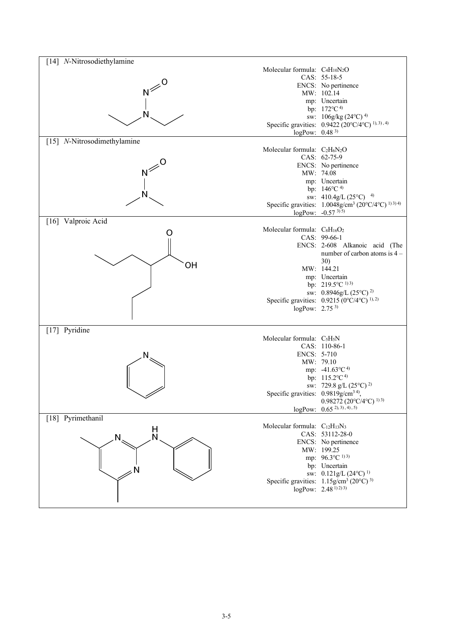| [14] N-Nitrosodiethylamine                                                             |                                                                                       |
|----------------------------------------------------------------------------------------|---------------------------------------------------------------------------------------|
| Molecular formula: C <sub>4</sub> H <sub>10</sub> N <sub>2</sub> O                     |                                                                                       |
|                                                                                        | CAS: 55-18-5                                                                          |
|                                                                                        | ENCS: No pertinence                                                                   |
|                                                                                        | MW: 102.14                                                                            |
|                                                                                        | mp: Uncertain                                                                         |
|                                                                                        | bp: 172°C <sup>4)</sup>                                                               |
|                                                                                        | sw: $106g/kg (24°C)^4$<br>Specific gravities: 0.9422 (20°C/4°C) <sup>1), 3), 4)</sup> |
|                                                                                        | $logPow: 0.48^{3}$                                                                    |
| [15] N-Nitrosodimethylamine                                                            |                                                                                       |
| Molecular formula: C <sub>2</sub> H <sub>6</sub> N <sub>2</sub> O                      |                                                                                       |
|                                                                                        | CAS: 62-75-9                                                                          |
|                                                                                        | ENCS: No pertinence                                                                   |
|                                                                                        | MW: 74.08                                                                             |
|                                                                                        | mp: Uncertain                                                                         |
|                                                                                        | bp: 146°C <sup>4)</sup>                                                               |
|                                                                                        | sw: $410.4g/L (25^{\circ}C)^{-4}$                                                     |
|                                                                                        | Specific gravities: 1.0048g/cm <sup>3</sup> (20°C/4°C) <sup>1)3)4)</sup>              |
|                                                                                        | logPow: $-0.57^{3(5)}$                                                                |
| [16] Valproic Acid<br>Molecular formula: C <sub>8</sub> H <sub>16</sub> O <sub>2</sub> |                                                                                       |
| O                                                                                      | CAS: 99-66-1                                                                          |
|                                                                                        | ENCS: 2-608 Alkanoic acid (The                                                        |
|                                                                                        | number of carbon atoms is 4 -                                                         |
|                                                                                        | 30)                                                                                   |
| ΟH                                                                                     | MW: 144.21                                                                            |
|                                                                                        | mp: Uncertain                                                                         |
|                                                                                        | bp: 219.5°C <sup>1)3)</sup>                                                           |
|                                                                                        | sw: 0.8946g/L (25°C) <sup>2)</sup>                                                    |
|                                                                                        | Specific gravities: $0.9215 (0^{\circ}C/4^{\circ}C)^{1,2}$                            |
|                                                                                        | logPow: $2.75^{3}$                                                                    |
|                                                                                        |                                                                                       |
| [17] Pyridine                                                                          |                                                                                       |
| Molecular formula: C <sub>5</sub> H <sub>5</sub> N                                     |                                                                                       |
|                                                                                        | CAS: 110-86-1                                                                         |
| N                                                                                      | ENCS: 5-710                                                                           |
|                                                                                        | MW: 79.10<br>mp: $-41.63^{\circ}C^{4}$                                                |
|                                                                                        | bp: 115.2°C <sup>4)</sup>                                                             |
|                                                                                        | sw: 729.8 g/L $(25^{\circ}C)^{2}$                                                     |
|                                                                                        | Specific gravities: 0.9819g/cm <sup>34)</sup> ,                                       |
|                                                                                        | $0.98272(20^{\circ}C/4^{\circ}C)^{1/3}$                                               |
|                                                                                        | $logPow: 0.65^{2), (3), (4), (5)}$                                                    |
| [18] Pyrimethanil                                                                      |                                                                                       |
| Molecular formula: C <sub>12</sub> H <sub>13</sub> N <sub>3</sub>                      |                                                                                       |
| H<br>N<br>N.                                                                           | CAS: 53112-28-0                                                                       |
|                                                                                        | ENCS: No pertinence                                                                   |
|                                                                                        | MW: 199.25                                                                            |
|                                                                                        | mp: $96.3^{\circ}C^{1/3}$                                                             |
|                                                                                        | bp: Uncertain<br>sw: $0.121g/L (24^{\circ}C)^{1}$                                     |
|                                                                                        | Specific gravities: $1.15$ g/cm <sup>3</sup> (20°C) <sup>3)</sup>                     |
|                                                                                        | logPow: $2.48^{(1)}$ <sup>2)</sup> <sup>3)</sup>                                      |
|                                                                                        |                                                                                       |
|                                                                                        |                                                                                       |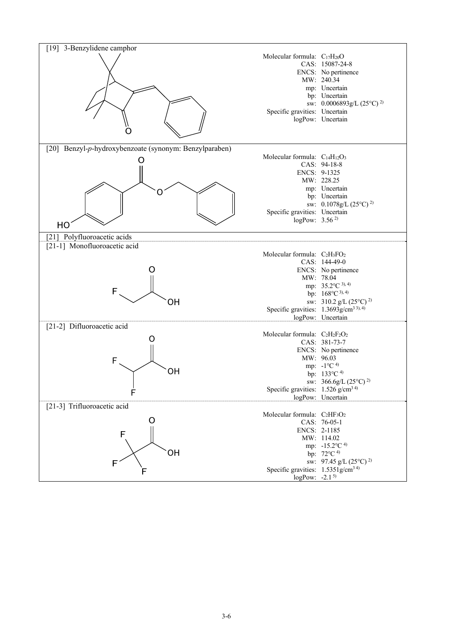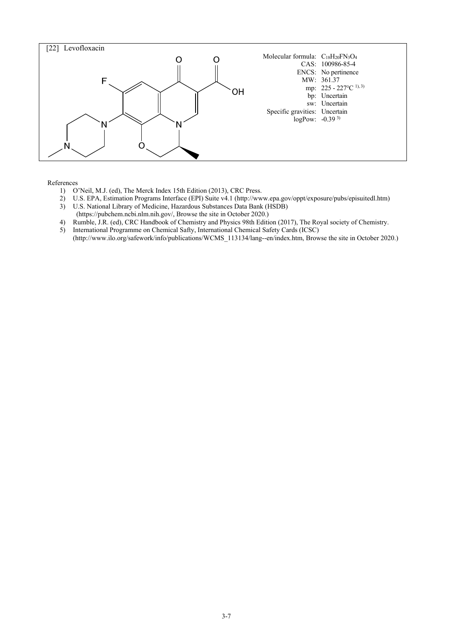

References

- 1) O'Neil, M.J. (ed), The Merck Index 15th Edition (2013), CRC Press.
- 2) U.S. EPA, Estimation Programs Interface (EPI) Suite v4.1 (http://www.epa.gov/oppt/exposure/pubs/episuitedl.htm)
- 3) U.S. National Library of Medicine, Hazardous Substances Data Bank (HSDB)
- (https://pubchem.ncbi.nlm.nih.gov/, Browse the site in October 2020.)
- 4) Rumble, J.R. (ed), CRC Handbook of Chemistry and Physics 98th Edition (2017), The Royal society of Chemistry.
- 5) International Programme on Chemical Safty, International Chemical Safety Cards (ICSC) (http://www.ilo.org/safework/info/publications/WCMS\_113134/lang--en/index.htm, Browse the site in October 2020.)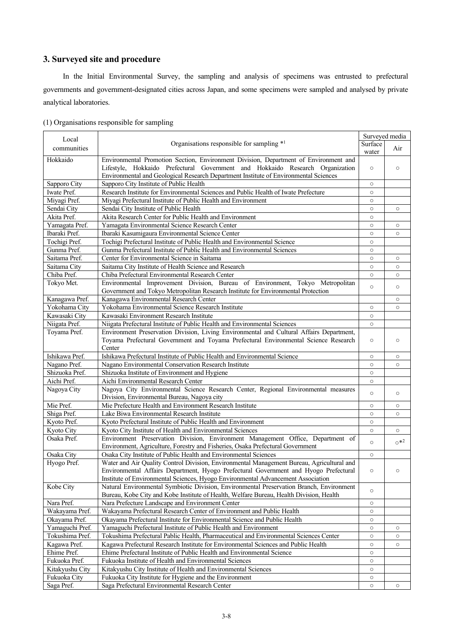## **3. Surveyed site and procedure**

In the Initial Environmental Survey, the sampling and analysis of specimens was entrusted to prefectural governments and government-designated cities across Japan, and some specimens were sampled and analysed by private analytical laboratories.

|  | (1) Organisations responsible for sampling |  |  |
|--|--------------------------------------------|--|--|
|  |                                            |  |  |

| Local           |                                                                                           |                  | Surveyed media |
|-----------------|-------------------------------------------------------------------------------------------|------------------|----------------|
| communities     | Organisations responsible for sampling *1                                                 | Surface<br>water | Air            |
| Hokkaido        | Environmental Promotion Section, Environment Division, Department of Environment and      |                  |                |
|                 | Lifestyle, Hokkaido Prefectural Government and Hokkaido Research Organization             | $\circ$          | $\circ$        |
|                 | Environmental and Geological Research Department Institute of Environmental Sciences      |                  |                |
| Sapporo City    | Sapporo City Institute of Public Health                                                   | $\circ$          |                |
| Iwate Pref.     | Research Institute for Environmental Sciences and Public Health of Iwate Prefecture       | $\circ$          |                |
| Miyagi Pref.    | Miyagi Prefectural Institute of Public Health and Environment                             | $\circ$          |                |
| Sendai City     | Sendai City Institute of Public Health                                                    | $\circ$          | $\circ$        |
| Akita Pref.     | Akita Research Center for Public Health and Environment                                   | $\circ$          |                |
| Yamagata Pref.  | Yamagata Environmental Science Research Center                                            | $\circ$          | $\circ$        |
| Ibaraki Pref.   | Ibaraki Kasumigaura Environmental Science Center                                          | $\circ$          | $\circ$        |
| Tochigi Pref.   | Tochigi Prefectural Institute of Public Health and Environmental Science                  | $\circ$          |                |
| Gunma Pref.     | Gunma Prefectural Institute of Public Health and Environmental Sciences                   | $\circ$          |                |
| Saitama Pref.   | Center for Environmental Science in Saitama                                               | $\circ$          | $\circ$        |
| Saitama City    | Saitama City Institute of Health Science and Research                                     | $\circ$          | $\circ$        |
| Chiba Pref.     | Chiba Prefectural Environmental Research Center                                           | $\circ$          | $\circ$        |
| Tokyo Met.      | Environmental Improvement Division, Bureau of Environment, Tokyo Metropolitan             |                  |                |
|                 | Government and Tokyo Metropolitan Research Institute for Environmental Protection         | $\circ$          | $\circ$        |
| Kanagawa Pref.  | Kanagawa Environmental Research Center                                                    |                  | $\circ$        |
| Yokohama City   | Yokohama Environmental Science Research Institute                                         | $\circ$          | $\circ$        |
| Kawasaki City   | Kawasaki Environment Research Institute                                                   | $\circ$          |                |
| Niigata Pref.   | Niigata Prefectural Institute of Public Health and Environmental Sciences                 | $\circ$          |                |
| Toyama Pref.    | Environment Preservation Division, Living Environmental and Cultural Affairs Department,  |                  |                |
|                 | Toyama Prefectural Government and Toyama Prefectural Environmental Science Research       | $\circ$          | $\circ$        |
|                 | Center                                                                                    |                  |                |
| Ishikawa Pref.  | Ishikawa Prefectural Institute of Public Health and Environmental Science                 | $\circ$          | $\circ$        |
| Nagano Pref.    | Nagano Environmental Conservation Research Institute                                      | $\circ$          | $\circ$        |
| Shizuoka Pref.  | Shizuoka Institute of Environment and Hygiene                                             | $\circ$          |                |
| Aichi Pref.     | Aichi Environmental Research Center                                                       | $\circ$          |                |
| Nagoya City     | Nagoya City Environmental Science Research Center, Regional Environmental measures        |                  |                |
|                 | Division, Environmental Bureau, Nagoya city                                               | $\circ$          | $\circ$        |
| Mie Pref.       | Mie Prefecture Health and Environment Research Institute                                  | $\circ$          | $\circ$        |
| Shiga Pref.     | Lake Biwa Environmental Research Institute                                                | $\circ$          | $\circ$        |
| Kyoto Pref.     | Kyoto Prefectural Institute of Public Health and Environment                              | $\circ$          |                |
| Kyoto City      | Kyoto City Institute of Health and Environmental Sciences                                 | $\circ$          | $\circ$        |
| Osaka Pref.     | Environment Preservation Division, Environment Management Office, Department of           |                  |                |
|                 | Environment, Agriculture, Forestry and Fisheries, Osaka Prefectural Government            | $\circ$          | $\circ$ *2     |
| Osaka City      | Osaka City Institute of Public Health and Environmental Sciences                          | $\circ$          |                |
| Hyogo Pref.     | Water and Air Quality Control Division, Environmental Management Bureau, Agricultural and |                  |                |
|                 | Environmental Affairs Department, Hyogo Prefectural Government and Hyogo Prefectural      | $\circ$          | O              |
|                 | Institute of Environmental Sciences, Hyogo Environmental Advancement Association          |                  |                |
| Kobe City       | Natural Environmental Symbiotic Division, Environmental Preservation Branch, Environment  |                  |                |
|                 | Bureau, Kobe City and Kobe Institute of Health, Welfare Bureau, Health Division, Health   | $\circ$          |                |
| Nara Pref.      | Nara Prefecture Landscape and Environment Center                                          | $\circ$          |                |
| Wakayama Pref.  | Wakayama Prefectural Research Center of Environment and Public Health                     | $\circ$          |                |
| Okayama Pref.   | Okayama Prefectural Institute for Environmental Science and Public Health                 |                  |                |
| Yamaguchi Pref. |                                                                                           | $\circ$          |                |
|                 | Yamaguchi Prefectural Institute of Public Health and Environment                          | $\circ$          | O              |
| Tokushima Pref. | Tokushima Prefectural Pablic Health, Pharmaceutical and Environmental Sciences Center     | $\circ$          | $\circ$        |
| Kagawa Pref.    | Kagawa Prefectural Research Institute for Environmental Sciences and Public Health        | $\circ$          | $\circ$        |
| Ehime Pref.     | Ehime Prefectural Institute of Public Health and Environmental Science                    | $\circ$          |                |
| Fukuoka Pref.   | Fukuoka Institute of Health and Environmental Sciences                                    | $\circ$          |                |
| Kitakyushu City | Kitakyushu City Institute of Health and Environmental Sciences                            | $\circ$          |                |
| Fukuoka City    | Fukuoka City Institute for Hygiene and the Environment                                    | $\circ$          |                |
| Saga Pref.      | Saga Prefectural Environmental Research Center                                            | $\circ$          | $\circ$        |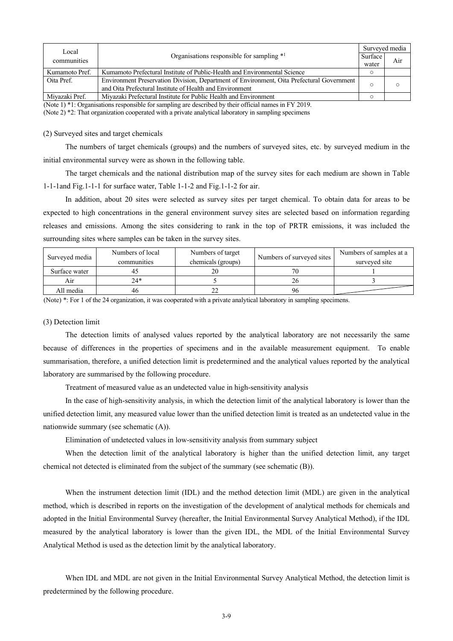| Local          |                                                                                                                                    | Surveyed media |     |
|----------------|------------------------------------------------------------------------------------------------------------------------------------|----------------|-----|
| communities    | Organisations responsible for sampling $*1$                                                                                        | Surface        | Air |
|                |                                                                                                                                    | water          |     |
| Kumamoto Pref. | Kumamoto Prefectural Institute of Public-Health and Environmental Science                                                          |                |     |
| Oita Pref.     | Environment Preservation Division, Department of Environment, Oita Prefectural Government                                          |                |     |
|                | and Oita Prefectural Institute of Health and Environment                                                                           |                |     |
| Mivazaki Pref. | Mivazaki Prefectural Institute for Public Health and Environment                                                                   |                |     |
|                | (Met. 1) $*1$ , Queenledi are used as 1.1 corrections and decoded the 4 to 4 chain $\alpha$ and $\alpha$ are $\alpha$ and $\alpha$ |                |     |

(Note 1) \*1: Organisations responsible for sampling are described by their official names in FY 2019.

(Note 2) \*2: That organization cooperated with a private analytical laboratory in sampling specimens

#### (2) Surveyed sites and target chemicals

The numbers of target chemicals (groups) and the numbers of surveyed sites, etc. by surveyed medium in the initial environmental survey were as shown in the following table.

The target chemicals and the national distribution map of the survey sites for each medium are shown in Table 1-1-1and Fig.1-1-1 for surface water, Table 1-1-2 and Fig.1-1-2 for air.

In addition, about 20 sites were selected as survey sites per target chemical. To obtain data for areas to be expected to high concentrations in the general environment survey sites are selected based on information regarding releases and emissions. Among the sites considering to rank in the top of PRTR emissions, it was included the surrounding sites where samples can be taken in the survey sites.

| Surveyed media | Numbers of local | Numbers of target  | Numbers of surveyed sites | Numbers of samples at a |
|----------------|------------------|--------------------|---------------------------|-------------------------|
|                | communities      | chemicals (groups) |                           | surveyed site           |
| Surface water  | 41               |                    |                           |                         |
| Air            | $24*$            |                    |                           |                         |
| All media      | 46               | $\sim$             | 96                        |                         |

(Note) \*: For 1 of the 24 organization, it was cooperated with a private analytical laboratory in sampling specimens.

### (3) Detection limit

The detection limits of analysed values reported by the analytical laboratory are not necessarily the same because of differences in the properties of specimens and in the available measurement equipment. To enable summarisation, therefore, a unified detection limit is predetermined and the analytical values reported by the analytical laboratory are summarised by the following procedure.

Treatment of measured value as an undetected value in high-sensitivity analysis

In the case of high-sensitivity analysis, in which the detection limit of the analytical laboratory is lower than the unified detection limit, any measured value lower than the unified detection limit is treated as an undetected value in the nationwide summary (see schematic (A)).

Elimination of undetected values in low-sensitivity analysis from summary subject

When the detection limit of the analytical laboratory is higher than the unified detection limit, any target chemical not detected is eliminated from the subject of the summary (see schematic (B)).

When the instrument detection limit (IDL) and the method detection limit (MDL) are given in the analytical method, which is described in reports on the investigation of the development of analytical methods for chemicals and adopted in the Initial Environmental Survey (hereafter, the Initial Environmental Survey Analytical Method), if the IDL measured by the analytical laboratory is lower than the given IDL, the MDL of the Initial Environmental Survey Analytical Method is used as the detection limit by the analytical laboratory.

When IDL and MDL are not given in the Initial Environmental Survey Analytical Method, the detection limit is predetermined by the following procedure.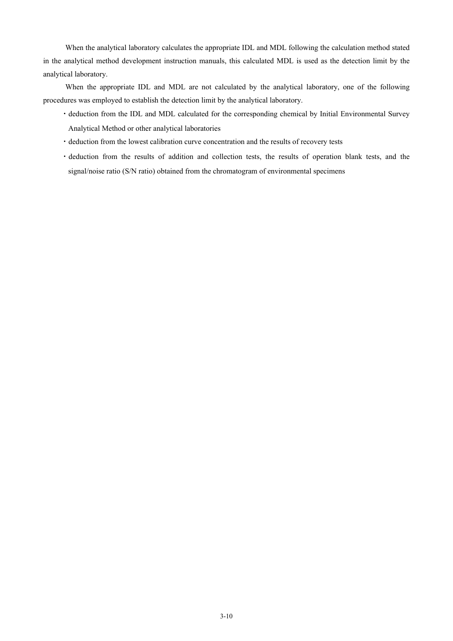When the analytical laboratory calculates the appropriate IDL and MDL following the calculation method stated in the analytical method development instruction manuals, this calculated MDL is used as the detection limit by the analytical laboratory.

When the appropriate IDL and MDL are not calculated by the analytical laboratory, one of the following procedures was employed to establish the detection limit by the analytical laboratory.

- ・deduction from the IDL and MDL calculated for the corresponding chemical by Initial Environmental Survey Analytical Method or other analytical laboratories
- ・deduction from the lowest calibration curve concentration and the results of recovery tests
- ・deduction from the results of addition and collection tests, the results of operation blank tests, and the signal/noise ratio (S/N ratio) obtained from the chromatogram of environmental specimens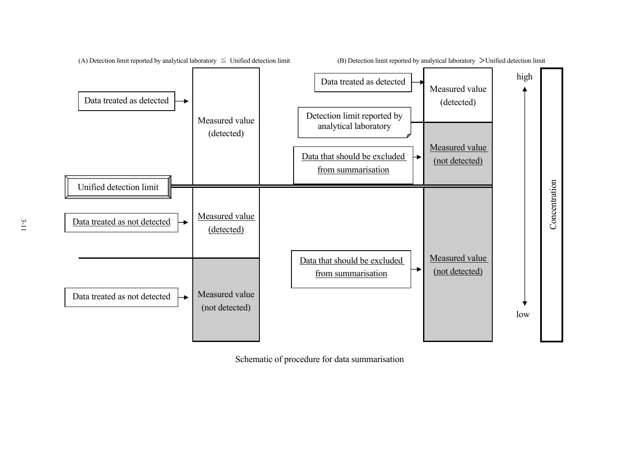

Schematic of procedure for data summarisation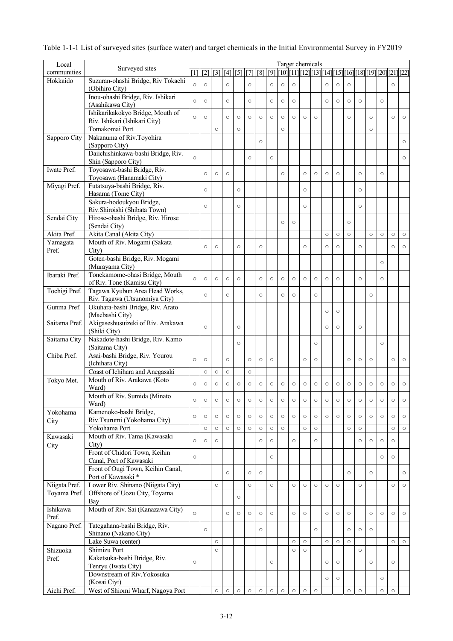| Local                         | Surveyed sites                                         | Target chemicals<br>[1] [[2] [[3] [[4] [[5] [[7] [[8] [[9] [[10][[11][[12][[13][[14][[15][[16][[18][[19][[20][[21][[22] |         |                    |         |         |         |         |         |         |                    |                    |         |         |         |         |         |         |         |         |         |
|-------------------------------|--------------------------------------------------------|-------------------------------------------------------------------------------------------------------------------------|---------|--------------------|---------|---------|---------|---------|---------|---------|--------------------|--------------------|---------|---------|---------|---------|---------|---------|---------|---------|---------|
| communities                   |                                                        |                                                                                                                         |         |                    |         |         |         |         |         |         |                    |                    |         |         |         |         |         |         |         |         |         |
| Hokkaido                      | Suzuran-ohashi Bridge, Riv Tokachi                     | $\circ$                                                                                                                 | $\circ$ |                    | $\circ$ |         | $\circ$ |         | $\circ$ | $\circ$ | $\circ$            |                    |         | $\circ$ | $\circ$ | $\circ$ |         |         |         | $\circ$ |         |
|                               | (Obihiro City)<br>Inou-ohashi Bridge, Riv. Ishikari    |                                                                                                                         |         |                    |         |         |         |         |         |         |                    |                    |         |         |         |         |         |         |         |         |         |
|                               | (Asahikawa City)                                       | $\circ$                                                                                                                 | $\circ$ |                    | $\circ$ |         | $\circ$ |         | $\circ$ | $\circ$ | $\circ$            |                    |         | $\circ$ | $\circ$ | $\circ$ | $\circ$ |         | $\circ$ |         |         |
|                               | Ishikarikakokyo Bridge, Mouth of                       |                                                                                                                         |         |                    |         |         |         |         |         |         |                    |                    |         |         |         |         |         |         |         |         |         |
|                               | Riv. Ishikari (Ishikari City)                          | $\circ$                                                                                                                 | $\circ$ |                    | $\circ$ | $\circ$ | $\circ$ | $\circ$ | $\circ$ | $\circ$ | $\circ$            | $\circ$            | $\circ$ |         |         | $\circ$ |         | $\circ$ |         | $\circ$ | $\circ$ |
|                               | Tomakomai Port                                         |                                                                                                                         |         | $\circ$            |         | $\circ$ |         |         |         | $\circ$ |                    |                    |         |         |         |         |         | $\circ$ |         |         |         |
| Sapporo City                  | Nakanuma of Riv.Toyohira                               |                                                                                                                         |         |                    |         |         |         | $\circ$ |         |         |                    |                    |         |         |         |         |         |         |         |         | $\circ$ |
|                               | (Sapporo City)<br>Daiichishinkawa-bashi Bridge, Riv.   |                                                                                                                         |         |                    |         |         |         |         |         |         |                    |                    |         |         |         |         |         |         |         |         |         |
|                               | Shin (Sapporo City)                                    | $\circ$                                                                                                                 |         |                    |         |         | $\circ$ |         | $\circ$ |         |                    |                    |         |         |         |         |         |         |         |         | $\circ$ |
| Iwate Pref.                   | Toyosawa-bashi Bridge, Riv.                            |                                                                                                                         |         |                    |         |         |         |         |         |         |                    |                    |         |         |         |         |         |         |         |         |         |
|                               | Toyosawa (Hanamaki City)                               |                                                                                                                         | $\circ$ | $\circ$            | $\circ$ |         |         |         |         | $\circ$ |                    | $\circ$            | $\circ$ | $\circ$ | $\circ$ |         | $\circ$ |         | $\circ$ |         |         |
| Miyagi Pref.                  | Futatsuya-bashi Bridge, Riv.                           |                                                                                                                         | $\circ$ |                    |         | $\circ$ |         |         |         |         |                    | $\circ$            |         |         |         |         | $\circ$ |         |         |         |         |
|                               | Hasama (Tome City)<br>Sakura-hodoukyou Bridge,         |                                                                                                                         |         |                    |         |         |         |         |         |         |                    |                    |         |         |         |         |         |         |         |         |         |
|                               | Riv.Shiroishi (Shibata Town)                           |                                                                                                                         | $\circ$ |                    |         | $\circ$ |         |         |         |         |                    | $\circ$            |         |         |         |         | $\circ$ |         |         |         |         |
| Sendai City                   | Hirose-ohashi Bridge, Riv. Hirose                      |                                                                                                                         |         |                    |         |         |         |         |         |         |                    |                    |         |         |         |         |         |         |         |         |         |
|                               | (Sendai City)                                          |                                                                                                                         |         |                    |         |         |         |         |         | $\circ$ | $\circ$            |                    |         |         |         | $\circ$ |         |         |         |         |         |
| Akita Pref.                   | Akita Canal (Akita City)                               |                                                                                                                         |         |                    |         |         |         |         |         |         |                    |                    |         | $\circ$ | $\circ$ | $\circ$ |         | $\circ$ | $\circ$ | $\circ$ | $\circ$ |
| Yamagata                      | Mouth of Riv. Mogami (Sakata                           |                                                                                                                         | $\circ$ | $\circ$            |         | $\circ$ |         | $\circ$ |         |         |                    | $\circ$            |         | $\circ$ | $\circ$ |         | $\circ$ |         |         | $\circ$ | $\circ$ |
| Pref.                         | City)<br>Goten-bashi Bridge, Riv. Mogami               |                                                                                                                         |         |                    |         |         |         |         |         |         |                    |                    |         |         |         |         |         |         |         |         |         |
|                               | (Murayama City)                                        |                                                                                                                         |         |                    |         |         |         |         |         |         |                    |                    |         |         |         |         |         |         | $\circ$ |         |         |
| Ibaraki Pref.                 | Tonekamome-ohasi Bridge, Mouth                         |                                                                                                                         |         |                    |         |         |         |         |         |         |                    |                    |         |         |         |         |         |         |         |         |         |
|                               | of Riv. Tone (Kamisu City)                             | $\circ$                                                                                                                 | $\circ$ | $\circ$            | $\circ$ | $\circ$ |         | $\circ$ | $\circ$ | $\circ$ | $\circ$            | $\circ$            | $\circ$ | $\circ$ | $\circ$ |         | $\circ$ |         | $\circ$ |         |         |
| Tochigi Pref.                 | Tagawa Kyubun Area Head Works,                         |                                                                                                                         | $\circ$ |                    | $\circ$ |         |         | $\circ$ |         | $\circ$ | $\circ$            |                    | $\circ$ |         |         |         |         | $\circ$ |         |         |         |
|                               | Riv. Tagawa (Utsunomiya City)                          |                                                                                                                         |         |                    |         |         |         |         |         |         |                    |                    |         |         |         |         |         |         |         |         |         |
| Gunma Pref.                   | Okuhara-bashi Bridge, Riv. Arato<br>(Maebashi City)    |                                                                                                                         |         |                    |         |         |         |         |         |         |                    |                    |         | $\circ$ | $\circ$ |         |         |         |         |         |         |
| Saitama Pref.                 | Akigaseshusuizeki of Riv. Arakawa                      |                                                                                                                         |         |                    |         |         |         |         |         |         |                    |                    |         |         |         |         |         |         |         |         |         |
|                               | (Shiki City)                                           |                                                                                                                         | $\circ$ |                    |         | $\circ$ |         |         |         |         |                    |                    |         | $\circ$ | $\circ$ |         | $\circ$ |         |         |         |         |
| Saitama City                  | Nakadote-hashi Bridge, Riv. Kamo<br>(Saitama City)     |                                                                                                                         |         |                    |         | $\circ$ |         |         |         |         |                    |                    | $\circ$ |         |         |         |         |         | $\circ$ |         |         |
| Chiba Pref.                   | Asai-bashi Bridge, Riv. Yourou<br>(Ichihara City)      | $\circ$                                                                                                                 | $\circ$ |                    | $\circ$ |         | $\circ$ | $\circ$ | $\circ$ |         |                    | $\circ$            | $\circ$ |         |         | $\circ$ | $\circ$ | $\circ$ |         | $\circ$ | $\circ$ |
|                               | Coast of Ichihara and Anegasaki                        |                                                                                                                         | $\circ$ | $\circ$            | $\circ$ |         | $\circ$ |         |         |         |                    |                    |         |         |         |         |         |         |         |         |         |
| Tokyo Met.                    | Mouth of Riv. Arakawa (Koto                            |                                                                                                                         |         |                    |         |         |         |         |         |         |                    |                    |         |         |         |         |         |         |         |         |         |
|                               | Ward)                                                  | $\circ$                                                                                                                 | $\circ$ | $\circ$            | $\circ$ | $\circ$ | $\circ$ | $\circ$ | $\circ$ | $\circ$ | $\circ$            | $\circ$            | $\circ$ | $\circ$ | $\circ$ | $\circ$ | $\circ$ | $\circ$ | $\circ$ | $\circ$ | $\circ$ |
|                               | Mouth of Riv. Sumida (Minato<br>Ward)                  | $\circ$                                                                                                                 | $\circ$ | $\circ$            | $\circ$ | $\circ$ | $\circ$ | $\circ$ | $\circ$ | $\circ$ | $\circ$            | $\circ$            | $\circ$ | $\circ$ | $\circ$ | $\circ$ | $\circ$ | $\circ$ | $\circ$ | $\circ$ | $\circ$ |
| Yokohama                      | Kamenoko-bashi Bridge,                                 | $\circ$                                                                                                                 | $\circ$ | $\circ$            | $\circ$ | $\circ$ | $\circ$ | $\circ$ | $\circ$ | $\circ$ | $\circ$            | $\circ$            | $\circ$ | $\circ$ | $\circ$ | $\circ$ | $\circ$ | $\circ$ | $\circ$ | $\circ$ | $\circ$ |
| City                          | Riv.Tsurumi (Yokohama City)                            |                                                                                                                         |         |                    |         |         |         |         |         |         |                    |                    |         |         |         |         |         |         |         |         |         |
| Kawasaki                      | Yokohama Port<br>Mouth of Riv. Tama (Kawasaki          |                                                                                                                         | $\circ$ | $\circ$            | $\circ$ | $\circ$ | $\circ$ | $\circ$ | $\circ$ | $\circ$ |                    | $\circ$            | $\circ$ |         |         | $\circ$ | $\circ$ |         |         | $\circ$ | $\circ$ |
| City                          | City)                                                  | $\circ$                                                                                                                 | $\circ$ | $\circ$            |         |         |         | $\circ$ | $\circ$ |         | $\circ$            |                    | $\circ$ |         |         |         | $\circ$ | $\circ$ | $\circ$ | $\circ$ |         |
|                               | Front of Chidori Town, Keihin                          |                                                                                                                         |         |                    |         |         |         |         |         |         |                    |                    |         |         |         |         |         |         |         |         |         |
|                               | Canal, Port of Kawasaki                                | $\circ$                                                                                                                 |         |                    |         |         |         |         | $\circ$ |         |                    |                    |         |         |         |         |         |         | $\circ$ | $\circ$ |         |
|                               | Front of Ougi Town, Keihin Canal,                      |                                                                                                                         |         |                    | $\circ$ |         | $\circ$ | $\circ$ |         |         |                    |                    |         |         |         | $\circ$ |         | $\circ$ |         |         | $\circ$ |
|                               | Port of Kawasaki*<br>Lower Riv. Shinano (Niigata City) |                                                                                                                         |         | $\circ$            |         |         |         |         |         |         |                    | $\circ$            |         |         |         |         |         |         |         |         |         |
| Niigata Pref.<br>Toyama Pref. | Offshore of Uozu City, Toyama                          |                                                                                                                         |         |                    |         |         | $\circ$ |         | $\circ$ |         | $\circ$            |                    | $\circ$ | $\circ$ | $\circ$ |         | $\circ$ |         |         | $\circ$ | $\circ$ |
|                               | Bay                                                    |                                                                                                                         |         |                    |         | $\circ$ |         |         |         |         |                    |                    |         |         |         |         |         |         |         |         |         |
| Ishikawa                      | Mouth of Riv. Sai (Kanazawa City)                      |                                                                                                                         |         |                    |         |         |         |         |         |         |                    |                    |         |         |         |         |         |         |         |         |         |
| Pref.                         |                                                        | $\circ$                                                                                                                 |         |                    | $\circ$ | $\circ$ | $\circ$ | $\circ$ | $\circ$ |         | $\circ$            | $\circ$            |         | $\circ$ | $\circ$ | $\circ$ |         | $\circ$ | $\circ$ | $\circ$ | $\circ$ |
| Nagano Pref.                  | Tategahana-bashi Bridge, Riv.                          |                                                                                                                         | $\circ$ |                    |         |         |         | $\circ$ |         |         |                    |                    | $\circ$ |         |         | $\circ$ | $\circ$ | $\circ$ |         |         |         |
|                               | Shinano (Nakano City)                                  |                                                                                                                         |         |                    |         |         |         |         |         |         |                    |                    |         |         |         |         |         |         |         |         |         |
| Shizuoka                      | Lake Suwa (center)<br>Shimizu Port                     |                                                                                                                         |         | $\circ$<br>$\circ$ |         |         |         |         |         |         | $\circ$<br>$\circ$ | $\circ$<br>$\circ$ |         | $\circ$ | $\circ$ | $\circ$ | $\circ$ |         |         | $\circ$ | $\circ$ |
| Pref.                         | Kaketsuka-bashi Bridge, Riv.                           |                                                                                                                         |         |                    |         |         |         |         |         |         |                    |                    |         |         |         |         |         |         |         |         |         |
|                               | Tenryu (Iwata City)                                    | $\circ$                                                                                                                 |         |                    |         |         |         |         | $\circ$ |         |                    |                    |         | $\circ$ | $\circ$ |         |         | $\circ$ |         | $\circ$ |         |
|                               | Downstream of Riv.Yokosuka                             |                                                                                                                         |         |                    |         |         |         |         |         |         |                    |                    |         | $\circ$ | $\circ$ |         |         |         | $\circ$ |         |         |
|                               | (Kosai Ciyt)                                           |                                                                                                                         |         |                    |         |         |         |         |         |         |                    |                    |         |         |         |         |         |         |         |         |         |
| Aichi Pref.                   | West of Shiomi Wharf, Nagoya Port                      |                                                                                                                         |         | $\circ$            | $\circ$ | $\circ$ | $\circ$ | $\circ$ | $\circ$ | $\circ$ | $\circ$            | $\circ$            | $\circ$ |         |         | $\circ$ | $\circ$ |         | $\circ$ | $\circ$ |         |

## Table 1-1-1 List of surveyed sites (surface water) and target chemicals in the Initial Environmental Survey in FY2019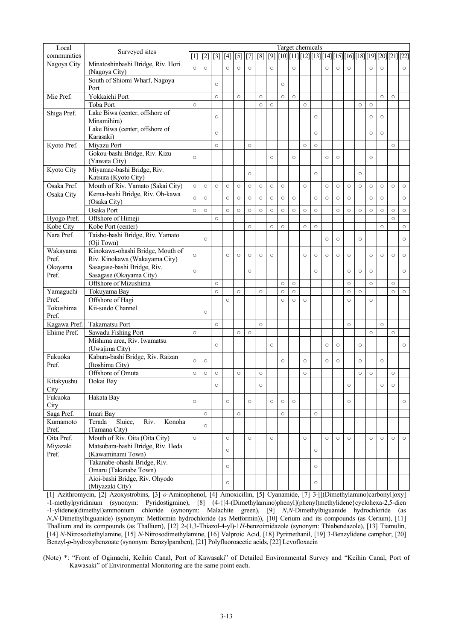| Local              | Surveyed sites                             |         |         |         |         |         |         |         |         |         | Target chemicals |         |         |         |         |         |         |         |         |                                                                                                     |         |
|--------------------|--------------------------------------------|---------|---------|---------|---------|---------|---------|---------|---------|---------|------------------|---------|---------|---------|---------|---------|---------|---------|---------|-----------------------------------------------------------------------------------------------------|---------|
| communities        |                                            |         |         |         |         |         |         |         |         |         |                  |         |         |         |         |         |         |         |         | [1] [[2] [[3] [[4] [[5] [[7] [[8] [[9] [[10][[11][[12][[13][[14][[15][[16][[18][[19][[20][[21][[22] |         |
| Nagoya City        | Minatoshinbashi Bridge, Riv. Hori          | $\circ$ | $\circ$ |         | $\circ$ | $\circ$ | $\circ$ |         | $\circ$ |         | $\circ$          |         |         | $\circ$ | $\circ$ | $\circ$ |         | $\circ$ | $\circ$ |                                                                                                     | $\circ$ |
|                    | (Nagoya City)                              |         |         |         |         |         |         |         |         |         |                  |         |         |         |         |         |         |         |         |                                                                                                     |         |
|                    | South of Shiomi Wharf, Nagoya              |         |         | $\circ$ |         |         |         |         |         | $\circ$ |                  |         |         |         |         |         |         |         |         |                                                                                                     |         |
|                    | Port                                       |         |         |         |         |         |         |         |         |         |                  |         |         |         |         |         |         |         |         |                                                                                                     |         |
| Mie Pref.          | Yokkaichi Port                             |         |         | $\circ$ |         | $\circ$ |         | $\circ$ |         | $\circ$ | $\circ$          |         |         |         |         |         |         |         | $\circ$ | $\circ$                                                                                             |         |
|                    | Toba Port                                  | $\circ$ |         |         |         |         |         | $\circ$ | $\circ$ |         |                  | $\circ$ |         |         |         |         | $\circ$ | $\circ$ |         |                                                                                                     |         |
| Shiga Pref.        | Lake Biwa (center, offshore of             |         |         |         |         |         |         |         |         |         |                  |         |         |         |         |         |         |         |         |                                                                                                     |         |
|                    | Minamihira)                                |         |         | $\circ$ |         |         |         |         |         |         |                  |         | $\circ$ |         |         |         |         | $\circ$ | $\circ$ |                                                                                                     |         |
|                    | Lake Biwa (center, offshore of             |         |         |         |         |         |         |         |         |         |                  |         |         |         |         |         |         |         |         |                                                                                                     |         |
|                    | Karasaki)                                  |         |         | $\circ$ |         |         |         |         |         |         |                  |         | $\circ$ |         |         |         |         | $\circ$ | $\circ$ |                                                                                                     |         |
| Kyoto Pref.        | Miyazu Port                                |         |         | $\circ$ |         |         | $\circ$ |         |         |         |                  | $\circ$ | $\circ$ |         |         |         |         |         |         | $\circ$                                                                                             |         |
|                    | Gokou-bashi Bridge, Riv. Kizu              |         |         |         |         |         |         |         |         |         |                  |         |         |         |         |         |         |         |         |                                                                                                     |         |
|                    | (Yawata City)                              | $\circ$ |         |         |         |         |         |         | $\circ$ |         | $\circ$          |         |         | $\circ$ | $\circ$ |         |         | $\circ$ |         |                                                                                                     |         |
| Kyoto City         | Miyamae-bashi Bridge, Riv.                 |         |         |         |         |         |         |         |         |         |                  |         |         |         |         |         |         |         |         |                                                                                                     |         |
|                    |                                            |         |         |         |         |         | $\circ$ |         |         |         |                  |         | $\circ$ |         |         |         | $\circ$ |         |         |                                                                                                     |         |
|                    | Katsura (Kyoto City)                       |         |         |         |         |         |         |         |         |         |                  |         |         |         |         |         |         |         |         |                                                                                                     |         |
| Osaka Pref.        | Mouth of Riv. Yamato (Sakai City)          | $\circ$ | $\circ$ | $\circ$ | $\circ$ | $\circ$ | $\circ$ | $\circ$ | $\circ$ | $\circ$ |                  | $\circ$ |         | $\circ$ | $\circ$ | $\circ$ | $\circ$ | $\circ$ | $\circ$ | $\circ$                                                                                             | $\circ$ |
| Osaka City         | Kema-bashi Bridge, Riv. Oh-kawa            | $\circ$ | $\circ$ |         | $\circ$ | $\circ$ | $\circ$ | $\circ$ | $\circ$ | $\circ$ | $\circ$          |         | $\circ$ | $\circ$ | $\circ$ | $\circ$ |         | $\circ$ | $\circ$ |                                                                                                     | $\circ$ |
|                    | (Osaka City)                               |         |         |         |         |         |         |         |         |         |                  |         |         |         |         |         |         |         |         |                                                                                                     |         |
|                    | Osaka Port                                 | $\circ$ | $\circ$ |         | $\circ$ | $\circ$ | $\circ$ | $\circ$ | $\circ$ | $\circ$ | $\circ$          | $\circ$ | $\circ$ |         | $\circ$ | $\circ$ | $\circ$ | $\circ$ | $\circ$ | $\circ$                                                                                             | $\circ$ |
| Hyogo Pref.        | Offshore of Himeji                         |         |         | $\circ$ |         |         |         |         |         |         |                  |         |         |         |         |         |         |         |         | $\circ$                                                                                             |         |
| Kobe City          | Kobe Port (center)                         |         |         |         |         |         | $\circ$ |         | $\circ$ | $\circ$ |                  | $\circ$ | $\circ$ |         |         |         |         |         | $\circ$ |                                                                                                     | $\circ$ |
| Nara Pref.         | Taisho-bashi Bridge, Riv. Yamato           |         |         |         |         |         |         |         |         |         |                  |         |         |         |         |         |         |         |         |                                                                                                     |         |
|                    | (Oji Town)                                 |         | $\circ$ |         |         |         |         |         |         |         |                  |         |         | $\circ$ | $\circ$ |         | $\circ$ |         |         |                                                                                                     | $\circ$ |
| Wakayama           | Kinokawa-ohashi Bridge, Mouth of           |         |         |         |         |         |         |         |         |         |                  |         |         |         |         |         |         |         |         |                                                                                                     |         |
| Pref.              | Riv. Kinokawa (Wakayama City)              | $\circ$ |         |         | $\circ$ | $\circ$ | $\circ$ | $\circ$ | $\circ$ |         |                  | $\circ$ | $\circ$ | $\circ$ | $\circ$ | $\circ$ |         | $\circ$ | $\circ$ | $\circ$                                                                                             | $\circ$ |
| Okayama            | Sasagase-bashi Bridge, Riv.                |         |         |         |         |         |         |         |         |         |                  |         |         |         |         |         |         |         |         |                                                                                                     |         |
| Pref.              | Sasagase (Okayama City)                    | $\circ$ |         |         |         |         | $\circ$ |         |         |         |                  |         | $\circ$ |         |         | $\circ$ | $\circ$ | $\circ$ |         |                                                                                                     | $\circ$ |
|                    | Offshore of Mizushima                      |         |         | $\circ$ |         |         |         |         |         | $\circ$ | $\circ$          |         |         |         |         | $\circ$ |         | $\circ$ |         | $\circ$                                                                                             |         |
|                    |                                            |         |         | $\circ$ |         |         |         |         |         |         | $\circ$          |         |         |         |         |         | $\circ$ |         |         | $\circ$                                                                                             |         |
| Yamaguchi<br>Pref. | Tokuyama Bay                               |         |         |         |         | $\circ$ |         | $\circ$ |         | $\circ$ |                  |         |         |         |         | $\circ$ |         |         |         |                                                                                                     | $\circ$ |
|                    | Offshore of Hagi                           |         |         |         | $\circ$ |         |         |         |         | $\circ$ | $\circ$          | $\circ$ |         |         |         | $\circ$ |         | $\circ$ |         |                                                                                                     |         |
| Tokushima          | Kii-suido Channel                          |         | $\circ$ |         |         |         |         |         |         |         |                  |         |         |         |         |         |         |         |         |                                                                                                     |         |
| Pref.              |                                            |         |         |         |         |         |         |         |         |         |                  |         |         |         |         |         |         |         |         |                                                                                                     |         |
| Kagawa Pref.       | Takamatsu Port                             |         |         | $\circ$ |         |         |         | $\circ$ |         |         |                  |         |         |         |         | $\circ$ |         |         | $\circ$ |                                                                                                     |         |
| Ehime Pref.        | Sawadu Fishing Port                        | $\circ$ |         |         |         | $\circ$ | $\circ$ |         |         |         |                  |         |         |         |         |         |         | $\circ$ |         | $\circ$                                                                                             |         |
|                    | Mishima area, Riv. Iwamatsu                |         |         | $\circ$ |         |         |         |         | $\circ$ |         |                  |         |         | $\circ$ | $\circ$ |         | $\circ$ |         |         |                                                                                                     | $\circ$ |
|                    | (Uwajima City)                             |         |         |         |         |         |         |         |         |         |                  |         |         |         |         |         |         |         |         |                                                                                                     |         |
| Fukuoka            | Kabura-bashi Bridge, Riv. Raizan           | $\circ$ |         |         |         |         |         |         |         |         |                  |         |         |         |         |         |         |         |         |                                                                                                     |         |
| Pref.              | (Itoshima City)                            |         | $\circ$ |         |         |         |         |         |         | $\circ$ |                  | $\circ$ |         | $\circ$ | $\circ$ |         | $\circ$ |         | $\circ$ |                                                                                                     |         |
|                    | Offshore of Omuta                          | $\circ$ | $\circ$ | $\circ$ |         | $\circ$ |         | $\circ$ |         |         |                  | $\circ$ |         |         |         |         | $\circ$ | $\circ$ |         | $\circ$                                                                                             |         |
| Kitakyushu         | Dokai Bay                                  |         |         |         |         |         |         |         |         |         |                  |         |         |         |         |         |         |         |         |                                                                                                     |         |
| City               |                                            |         |         | $\circ$ |         |         |         | $\circ$ |         |         |                  |         |         |         |         | $\circ$ |         |         | $\circ$ | $\circ$                                                                                             |         |
| Fukuoka            | Hakata Bay                                 |         |         |         |         |         |         |         |         |         |                  |         |         |         |         |         |         |         |         |                                                                                                     |         |
| City               |                                            | $\circ$ |         |         | $\circ$ |         | $\circ$ |         | $\circ$ | $\circ$ | $\circ$          |         |         |         |         | $\circ$ |         |         |         |                                                                                                     | $\circ$ |
| Saga Pref.         | Imari Bay                                  |         | $\circ$ |         |         | $\circ$ |         |         |         | $\circ$ |                  |         | $\circ$ |         |         |         |         |         |         |                                                                                                     |         |
|                    | Terada                                     |         |         |         |         |         |         |         |         |         |                  |         |         |         |         |         |         |         |         |                                                                                                     |         |
| Kumamoto           | Sluice,<br>Riv.<br>Konoha<br>(Tamana City) |         | $\circ$ |         |         |         |         |         |         |         |                  |         |         |         |         |         |         |         |         |                                                                                                     |         |
| Pref.              |                                            |         |         |         |         |         |         |         |         |         |                  |         |         |         |         |         |         |         |         |                                                                                                     |         |
| Oita Pref.         | Mouth of Riv. Oita (Oita City)             | $\circ$ |         |         | $\circ$ |         | $\circ$ |         | $\circ$ |         |                  | $\circ$ |         | $\circ$ | $\circ$ | $\circ$ |         | $\circ$ | $\circ$ | $\circ$                                                                                             | $\circ$ |
| Miyazaki           | Matsubara-bashi Bridge, Riv. Heda          |         |         |         | $\circ$ |         |         |         |         |         |                  |         | $\circ$ |         |         |         |         |         |         |                                                                                                     |         |
| Pref.              | (Kawaminami Town)                          |         |         |         |         |         |         |         |         |         |                  |         |         |         |         |         |         |         |         |                                                                                                     |         |
|                    | Takanabe-ohashi Bridge, Riv.               |         |         |         | $\circ$ |         |         |         |         |         |                  |         | $\circ$ |         |         |         |         |         |         |                                                                                                     |         |
|                    | Omaru (Takanabe Town)                      |         |         |         |         |         |         |         |         |         |                  |         |         |         |         |         |         |         |         |                                                                                                     |         |
|                    | Aioi-bashi Bridge, Riv. Ohyodo             |         |         |         |         |         |         |         |         |         |                  |         |         |         |         |         |         |         |         |                                                                                                     |         |
|                    | (Miyazaki City)                            |         |         |         | $\circ$ |         |         |         |         |         |                  |         | $\circ$ |         |         |         |         |         |         |                                                                                                     |         |

[1] Azithromycin, [2] Azoxystrobins, [3] *o*-Aminophenol, [4] Amoxicillin, [5] Cyanamide, [7] 3-[[(Dimethylamino)carbonyl]oxy] -1-methylpyridinium (synonym: Pyridostigmine), [8] (4-{[4-(Dimethylamino)phenyl](phenyl)methylidene}cyclohexa-2,5-dien -1-ylidene)(dimethyl)ammonium chloride (synonym: Malachite green), [9] *N*,*N*-Dimethylbiguanide hydrochloride (as *N*,*N*-Dimethylbiguanide) (synonym: Metformin hydrochloride (as Metformin)), [10] Cerium and its compounds (as Cerium), [11] Thallium and its compounds (as Thallium), [12] 2-(1,3-Thiazol-4-yl)-1*H*-benzoimidazole (synonym: Thiabendazole), [13] Tiamulin, [14] *N*-Nitrosodiethylamine, [15] *N*-Nitrosodimethylamine, [16] Valproic Acid, [18] Pyrimethanil, [19] 3-Benzylidene camphor, [20] Benzyl-*p*-hydroxybenzoate (synonym: Benzylparaben), [21] Polyfluoroacetic acids, [22] Levofloxacin

(Note) \*: "Front of Ogimachi, Keihin Canal, Port of Kawasaki" of Detailed Environmental Survey and "Keihin Canal, Port of Kawasaki" of Environmental Monitoring are the same point each.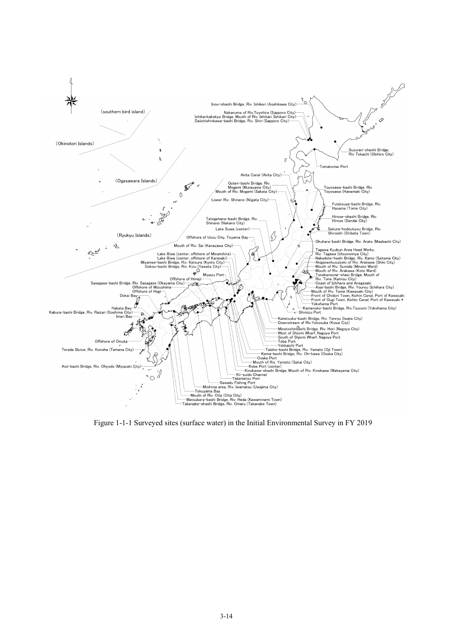

Figure 1-1-1 Surveyed sites (surface water) in the Initial Environmental Survey in FY 2019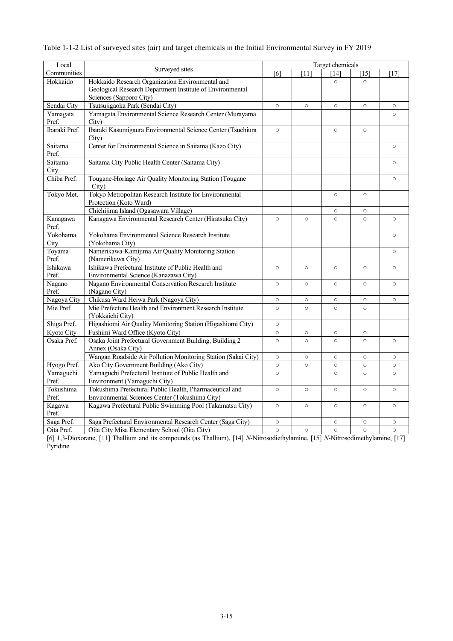| Local             |                                                                                   |         |         | Target chemicals |         |         |
|-------------------|-----------------------------------------------------------------------------------|---------|---------|------------------|---------|---------|
| Communities       | Surveyed sites                                                                    | [6]     | $[11]$  | [14]             | [15]    | $[17]$  |
| Hokkaido          | Hokkaido Research Organization Environmental and                                  |         |         | $\circ$          | $\circ$ |         |
|                   | Geological Research Department Institute of Environmental                         |         |         |                  |         |         |
|                   | Sciences (Sapporo City)                                                           |         |         |                  |         |         |
| Sendai City       | Tsutsujigaoka Park (Sendai City)                                                  | $\circ$ | $\circ$ | $\circ$          | $\circ$ | $\circ$ |
| Yamagata          | Yamagata Environmental Science Research Center (Murayama                          |         |         |                  |         | $\circ$ |
| Pref.             | City)                                                                             |         |         |                  |         |         |
| Ibaraki Pref.     | Ibaraki Kasumigaura Environmental Science Center (Tsuchiura<br>City)              | $\circ$ |         | $\circ$          | $\circ$ |         |
| Saitama<br>Pref.  | Center for Environmental Science in Saitama (Kazo City)                           |         |         |                  |         | $\circ$ |
| Saitama<br>City   | Saitama City Public Health Center (Saitama City)                                  |         |         |                  |         | $\circ$ |
| Chiba Pref.       | Tougane-Horiage Air Quality Monitoring Station (Tougane<br>City)                  |         |         |                  |         | $\circ$ |
| Tokyo Met.        | Tokyo Metropolitan Research Institute for Environmental<br>Protection (Koto Ward) |         |         | $\circ$          | $\circ$ |         |
|                   | Chichijima Island (Ogasawara Village)                                             |         |         | $\circ$          | $\circ$ |         |
| Kanagawa<br>Pref. | Kanagawa Environmental Research Center (Hiratsuka City)                           | $\circ$ | $\circ$ | $\circ$          | $\circ$ | $\circ$ |
| Yokohama<br>City  | Yokohama Environmental Science Research Institute<br>(Yokohama City)              |         |         |                  |         | $\circ$ |
| Toyama            | Namerikawa-Kamijima Air Quality Monitoring Station                                |         |         |                  |         | $\circ$ |
| Pref.             | (Namerikawa City)                                                                 |         |         |                  |         |         |
| Ishikawa          | Ishikawa Prefectural Institute of Public Health and                               | $\circ$ | $\circ$ | $\circ$          | $\circ$ | $\circ$ |
| Pref.             | Environmental Science (Kanazawa City)                                             |         |         |                  |         |         |
| Nagano            | Nagano Environmental Conservation Research Institute                              | $\circ$ | $\circ$ | $\circ$          | $\circ$ | $\circ$ |
| Pref.             | (Nagano City)                                                                     |         |         |                  |         |         |
| Nagoya City       | Chikusa Ward Heiwa Park (Nagoya City)                                             | $\circ$ | $\circ$ | $\circ$          | $\circ$ | $\circ$ |
| Mie Pref.         | Mie Prefecture Health and Environment Research Institute                          | $\circ$ | $\circ$ | $\circ$          | $\circ$ |         |
|                   | (Yokkaichi City)                                                                  |         |         |                  |         |         |
| Shiga Pref.       | Higashiomi Air Quality Monitoring Station (Higashiomi City)                       | $\circ$ |         |                  |         |         |
| Kyoto City        | Fushimi Ward Office (Kyoto City)                                                  | $\circ$ | $\circ$ | $\circ$          | $\circ$ |         |
| Osaka Pref.       | Osaka Joint Prefectural Government Building, Building 2                           | $\circ$ | $\circ$ | $\circ$          | $\circ$ | $\circ$ |
|                   | Annex (Osaka City)                                                                |         |         |                  |         |         |
|                   | Wangan Roadside Air Pollution Monitoring Station (Sakai City)                     | $\circ$ | $\circ$ | $\circ$          | $\circ$ | $\circ$ |
| Hyogo Pref.       | Ako City Government Building (Ako City)                                           | $\circ$ | $\circ$ | $\circ$          | $\circ$ | $\circ$ |
| Yamaguchi         | Yamaguchi Prefectural Institute of Public Health and                              | $\circ$ |         | $\circ$          | $\circ$ | $\circ$ |
| Pref.             | Environment (Yamaguchi City)                                                      |         |         |                  |         |         |
| Tokushima         | Tokushima Prefectural Public Health, Pharmaceutical and                           | $\circ$ | $\circ$ | $\circ$          | $\circ$ | $\circ$ |
| Pref.             | Environmental Sciences Center (Tokushima City)                                    |         |         |                  |         |         |
| Kagawa<br>Pref.   | Kagawa Prefectural Public Swimming Pool (Takamatsu City)                          | $\circ$ | $\circ$ | $\circ$          | $\circ$ | $\circ$ |
| Saga Pref.        | Saga Prefectural Environmental Research Center (Saga City)                        | $\circ$ |         | $\circ$          | $\circ$ | $\circ$ |
| Oita Pref.        | Oita City Misa Elementary School (Oita City)                                      | $\circ$ | $\circ$ | $\circ$          | $\circ$ | $\circ$ |

| Table 1-1-2 List of surveyed sites (air) and target chemicals in the Initial Environmental Survey in FY 2019 |  |  |
|--------------------------------------------------------------------------------------------------------------|--|--|
|                                                                                                              |  |  |

[6] 1,3-Dioxorane, [11] Thallium and its compounds (as Thallium), [14] *N*-Nitrosodiethylamine, [15] *N*-Nitrosodimethylamine, [17] Pyridine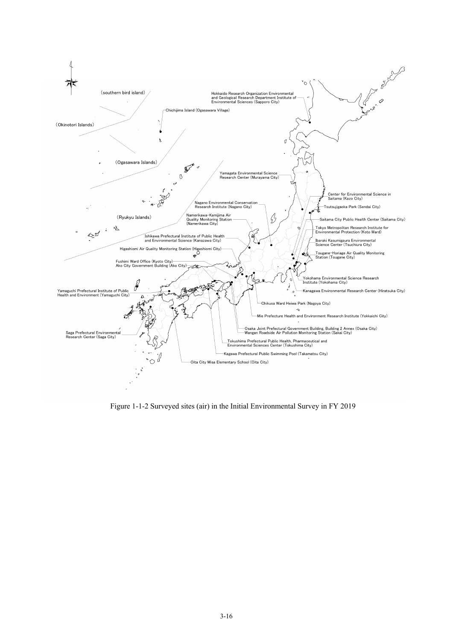

Figure 1-1-2 Surveyed sites (air) in the Initial Environmental Survey in FY 2019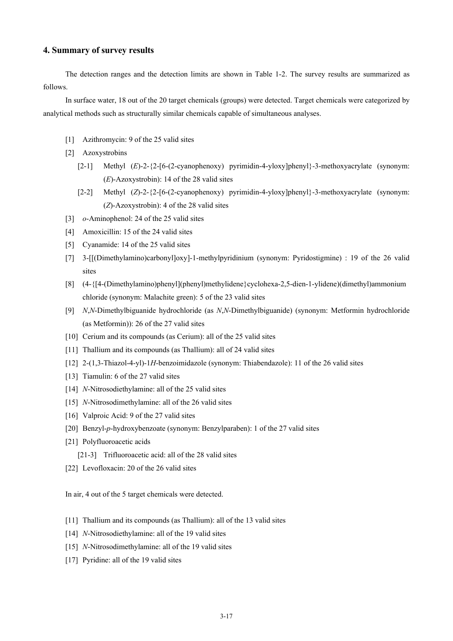## **4. Summary of survey results**

The detection ranges and the detection limits are shown in Table 1-2. The survey results are summarized as follows.

In surface water, 18 out of the 20 target chemicals (groups) were detected. Target chemicals were categorized by analytical methods such as structurally similar chemicals capable of simultaneous analyses.

- [1] Azithromycin: 9 of the 25 valid sites
- [2] Azoxystrobins
	- [2-1] Methyl (*E*)-2-{2-[6-(2-cyanophenoxy) pyrimidin-4-yloxy]phenyl}-3-methoxyacrylate (synonym: (*E*)-Azoxystrobin): 14 of the 28 valid sites
	- [2-2] Methyl (*Z*)-2-{2-[6-(2-cyanophenoxy) pyrimidin-4-yloxy]phenyl}-3-methoxyacrylate (synonym: (*Z*)-Azoxystrobin): 4 of the 28 valid sites
- [3] *o*-Aminophenol: 24 of the 25 valid sites
- [4] Amoxicillin: 15 of the 24 valid sites
- [5] Cyanamide: 14 of the 25 valid sites
- [7] 3-[[(Dimethylamino)carbonyl]oxy]-1-methylpyridinium (synonym: Pyridostigmine) : 19 of the 26 valid sites
- [8] (4-{[4-(Dimethylamino)phenyl](phenyl)methylidene}cyclohexa-2,5-dien-1-ylidene)(dimethyl)ammonium chloride (synonym: Malachite green): 5 of the 23 valid sites
- [9] *N*,*N*-Dimethylbiguanide hydrochloride (as *N*,*N*-Dimethylbiguanide) (synonym: Metformin hydrochloride (as Metformin)): 26 of the 27 valid sites
- [10] Cerium and its compounds (as Cerium): all of the 25 valid sites
- [11] Thallium and its compounds (as Thallium): all of 24 valid sites
- [12] 2-(1,3-Thiazol-4-yl)-1*H*-benzoimidazole (synonym: Thiabendazole): 11 of the 26 valid sites
- [13] Tiamulin: 6 of the 27 valid sites
- [14] *N*-Nitrosodiethylamine: all of the 25 valid sites
- [15] *N*-Nitrosodimethylamine: all of the 26 valid sites
- [16] Valproic Acid: 9 of the 27 valid sites
- [20] Benzyl-*p*-hydroxybenzoate (synonym: Benzylparaben): 1 of the 27 valid sites
- [21] Polyfluoroacetic acids
	- [21-3] Trifluoroacetic acid: all of the 28 valid sites
- [22] Levofloxacin: 20 of the 26 valid sites

In air, 4 out of the 5 target chemicals were detected.

- [11] Thallium and its compounds (as Thallium): all of the 13 valid sites
- [14] *N*-Nitrosodiethylamine: all of the 19 valid sites
- [15] *N*-Nitrosodimethylamine: all of the 19 valid sites
- [17] Pyridine: all of the 19 valid sites